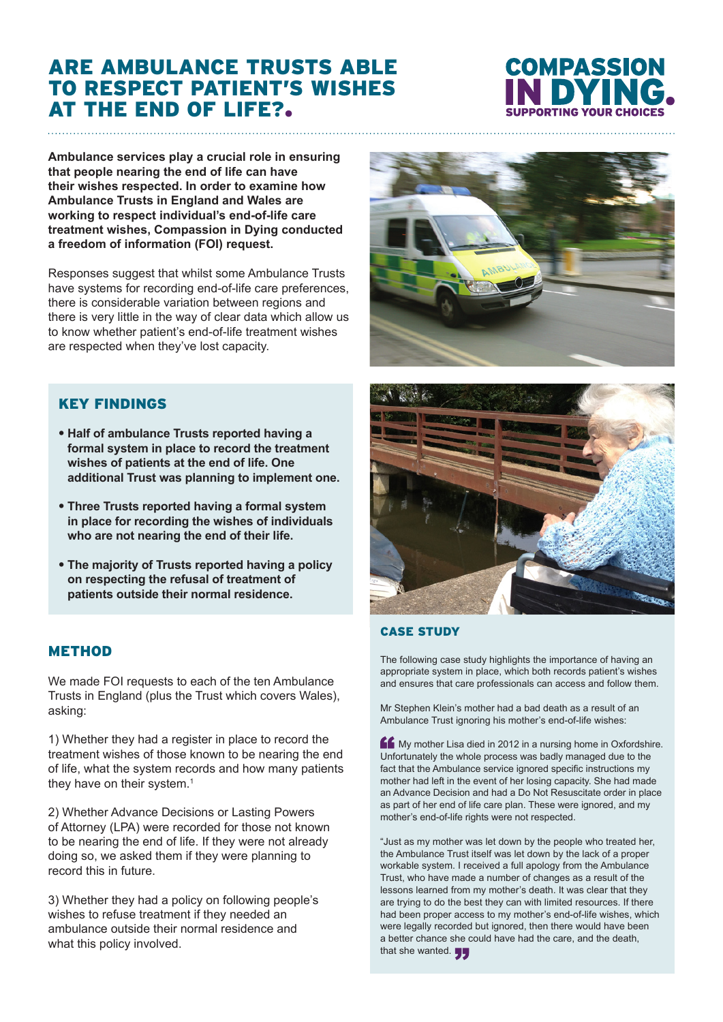## ARE AMBULANCE TRUSTS ABLE TO RESPECT PATIENT'S WISHES AT THE END OF LIFE?.

# **COMPASSION**

**Ambulance services play a crucial role in ensuring that people nearing the end of life can have their wishes respected. In order to examine how Ambulance Trusts in England and Wales are working to respect individual's end-of-life care treatment wishes, Compassion in Dying conducted a freedom of information (FOI) request.** 

Responses suggest that whilst some Ambulance Trusts have systems for recording end-of-life care preferences. there is considerable variation between regions and there is very little in the way of clear data which allow us to know whether patient's end-of-life treatment wishes are respected when they've lost capacity.

### KEY FINDINGS

- **• Half of ambulance Trusts reported having a formal system in place to record the treatment wishes of patients at the end of life. One additional Trust was planning to implement one.**
- **• Three Trusts reported having a formal system in place for recording the wishes of individuals who are not nearing the end of their life.**
- **• The majority of Trusts reported having a policy on respecting the refusal of treatment of patients outside their normal residence.**

#### **METHOD**

We made FOI requests to each of the ten Ambulance Trusts in England (plus the Trust which covers Wales), asking:

1) Whether they had a register in place to record the treatment wishes of those known to be nearing the end of life, what the system records and how many patients they have on their system.<sup>1</sup>

2) Whether Advance Decisions or Lasting Powers of Attorney (LPA) were recorded for those not known to be nearing the end of life. If they were not already doing so, we asked them if they were planning to record this in future.

3) Whether they had a policy on following people's wishes to refuse treatment if they needed an ambulance outside their normal residence and what this policy involved.





#### CASE STUDY

The following case study highlights the importance of having an appropriate system in place, which both records patient's wishes and ensures that care professionals can access and follow them.

Mr Stephen Klein's mother had a bad death as a result of an Ambulance Trust ignoring his mother's end-of-life wishes:

My mother Lisa died in 2012 in a nursing home in Oxfordshire. Unfortunately the whole process was badly managed due to the fact that the Ambulance service ignored specific instructions my mother had left in the event of her losing capacity. She had made an Advance Decision and had a Do Not Resuscitate order in place as part of her end of life care plan. These were ignored, and my mother's end-of-life rights were not respected.

"Just as my mother was let down by the people who treated her, the Ambulance Trust itself was let down by the lack of a proper workable system. I received a full apology from the Ambulance Trust, who have made a number of changes as a result of the lessons learned from my mother's death. It was clear that they are trying to do the best they can with limited resources. If there had been proper access to my mother's end-of-life wishes, which were legally recorded but ignored, then there would have been a better chance she could have had the care, and the death, that she wanted.